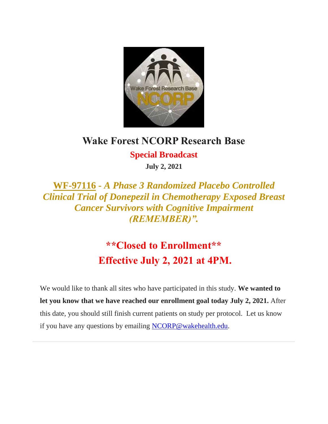

## **Wake Forest NCORP Research Base**

**Special Broadcast July 2, 2021**

**WF-97116 -** *A Phase 3 Randomized Placebo Controlled Clinical Trial of Donepezil in Chemotherapy Exposed Breast Cancer Survivors with Cognitive Impairment (REMEMBER)".*

> **\*\*Closed to Enrollment\*\* Effective July 2, 2021 at 4PM.**

We would like to thank all sites who have participated in this study. **We wanted to let you know that we have reached our enrollment goal today July 2, 2021.** After this date, you should still finish current patients on study per protocol. Let us know if you have any questions by emailing [NCORP@wakehealth.edu.](mailto:NCORP@wakehealth.edu)